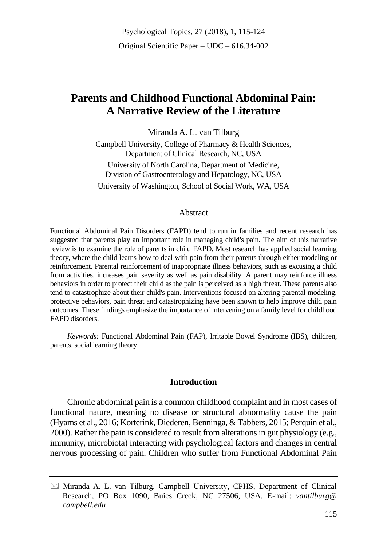# **Parents and Childhood Functional Abdominal Pain: A Narrative Review of the Literature**

Miranda A. L. van Tilburg Campbell University, College of Pharmacy & Health Sciences, Department of Clinical Research, NC, USA University of North Carolina, Department of Medicine, Division of Gastroenterology and Hepatology, NC, USA University of Washington, School of Social Work, WA, USA

#### Abstract

Functional Abdominal Pain Disorders (FAPD) tend to run in families and recent research has suggested that parents play an important role in managing child's pain. The aim of this narrative review is to examine the role of parents in child FAPD. Most research has applied social learning theory, where the child learns how to deal with pain from their parents through either modeling or reinforcement. Parental reinforcement of inappropriate illness behaviors, such as excusing a child from activities, increases pain severity as well as pain disability. A parent may reinforce illness behaviors in order to protect their child as the pain is perceived as a high threat. These parents also tend to catastrophize about their child's pain. Interventions focused on altering parental modeling, protective behaviors, pain threat and catastrophizing have been shown to help improve child pain outcomes. These findings emphasize the importance of intervening on a family level for childhood FAPD disorders.

*Keywords:* Functional Abdominal Pain (FAP), Irritable Bowel Syndrome (IBS), children, parents, social learning theory

### **Introduction**

Chronic abdominal pain is a common childhood complaint and in most cases of functional nature, meaning no disease or structural abnormality cause the pain (Hyams et al., 2016; Korterink, Diederen, Benninga, & Tabbers, 2015; Perquin et al., 2000). Rather the pain is considered to result from alterations in gut physiology (e.g., immunity, microbiota) interacting with psychological factors and changes in central nervous processing of pain. Children who suffer from Functional Abdominal Pain

 $\boxtimes$  Miranda A. L. van Tilburg, Campbell University, CPHS, Department of Clinical Research, PO Box 1090, Buies Creek, NC 27506, USA. E-mail: *vantilburg@ campbell.edu*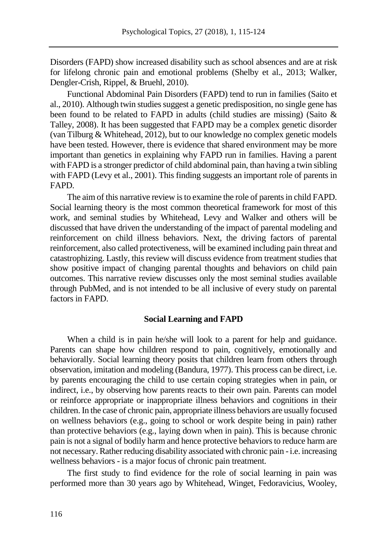Disorders (FAPD) show increased disability such as school absences and are at risk for lifelong chronic pain and emotional problems (Shelby et al., 2013; Walker, Dengler-Crish, Rippel, & Bruehl, 2010).

Functional Abdominal Pain Disorders (FAPD) tend to run in families (Saito et al., 2010). Although twin studies suggest a genetic predisposition, no single gene has been found to be related to FAPD in adults (child studies are missing) (Saito & Talley, 2008). It has been suggested that FAPD may be a complex genetic disorder (van Tilburg & Whitehead, 2012), but to our knowledge no complex genetic models have been tested. However, there is evidence that shared environment may be more important than genetics in explaining why FAPD run in families. Having a parent with FAPD is a stronger predictor of child abdominal pain, than having a twin sibling with FAPD (Levy et al., 2001). This finding suggests an important role of parents in FAPD.

The aim of this narrative review is to examine the role of parents in child FAPD. Social learning theory is the most common theoretical framework for most of this work, and seminal studies by Whitehead, Levy and Walker and others will be discussed that have driven the understanding of the impact of parental modeling and reinforcement on child illness behaviors. Next, the driving factors of parental reinforcement, also called protectiveness, will be examined including pain threat and catastrophizing. Lastly, this review will discuss evidence from treatment studies that show positive impact of changing parental thoughts and behaviors on child pain outcomes. This narrative review discusses only the most seminal studies available through PubMed, and is not intended to be all inclusive of every study on parental factors in FAPD.

#### **Social Learning and FAPD**

When a child is in pain he/she will look to a parent for help and guidance. Parents can shape how children respond to pain, cognitively, emotionally and behaviorally. Social learning theory posits that children learn from others through observation, imitation and modeling (Bandura, 1977). This process can be direct, i.e. by parents encouraging the child to use certain coping strategies when in pain, or indirect, i.e., by observing how parents reacts to their own pain. Parents can model or reinforce appropriate or inappropriate illness behaviors and cognitions in their children. In the case of chronic pain, appropriate illness behaviors are usually focused on wellness behaviors (e.g., going to school or work despite being in pain) rather than protective behaviors (e.g., laying down when in pain). This is because chronic pain is not a signal of bodily harm and hence protective behaviors to reduce harm are not necessary. Rather reducing disability associated with chronic pain -i.e. increasing wellness behaviors - is a major focus of chronic pain treatment.

The first study to find evidence for the role of social learning in pain was performed more than 30 years ago by Whitehead, Winget, Fedoravicius, Wooley,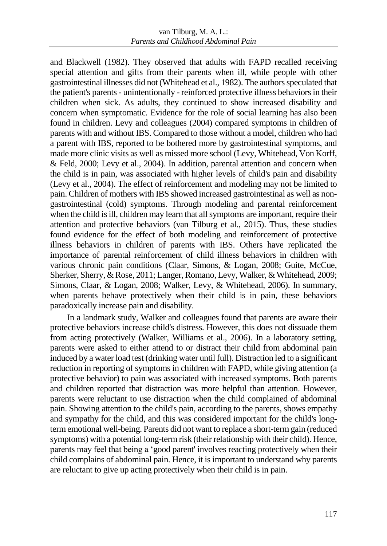and Blackwell (1982). They observed that adults with FAPD recalled receiving special attention and gifts from their parents when ill, while people with other gastrointestinal illnesses did not (Whitehead et al., 1982). The authors speculated that the patient's parents - unintentionally - reinforced protective illness behaviors in their children when sick. As adults, they continued to show increased disability and concern when symptomatic. Evidence for the role of social learning has also been found in children. Levy and colleagues (2004) compared symptoms in children of parents with and without IBS. Compared to those without a model, children who had a parent with IBS, reported to be bothered more by gastrointestinal symptoms, and made more clinic visits as well as missed more school (Levy, Whitehead, Von Korff, & Feld, 2000; Levy et al., 2004). In addition, parental attention and concern when the child is in pain, was associated with higher levels of child's pain and disability (Levy et al., 2004). The effect of reinforcement and modeling may not be limited to pain. Children of mothers with IBS showed increased gastrointestinal as well as nongastrointestinal (cold) symptoms. Through modeling and parental reinforcement when the child is ill, children may learn that all symptoms are important, require their attention and protective behaviors (van Tilburg et al., 2015). Thus, these studies found evidence for the effect of both modeling and reinforcement of protective illness behaviors in children of parents with IBS. Others have replicated the importance of parental reinforcement of child illness behaviors in children with various chronic pain conditions (Claar, Simons, & Logan, 2008; Guite, McCue, Sherker, Sherry, & Rose, 2011; Langer, Romano, Levy, Walker, & Whitehead, 2009; Simons, Claar, & Logan, 2008; Walker, Levy, & Whitehead, 2006). In summary, when parents behave protectively when their child is in pain, these behaviors paradoxically increase pain and disability.

In a landmark study, Walker and colleagues found that parents are aware their protective behaviors increase child's distress. However, this does not dissuade them from acting protectively (Walker, Williams et al., 2006). In a laboratory setting, parents were asked to either attend to or distract their child from abdominal pain induced by a water load test (drinking water until full). Distraction led to a significant reduction in reporting of symptoms in children with FAPD, while giving attention (a protective behavior) to pain was associated with increased symptoms. Both parents and children reported that distraction was more helpful than attention. However, parents were reluctant to use distraction when the child complained of abdominal pain. Showing attention to the child's pain, according to the parents, shows empathy and sympathy for the child, and this was considered important for the child's longterm emotional well-being. Parents did not want to replace a short-term gain (reduced symptoms) with a potential long-term risk (their relationship with their child). Hence, parents may feel that being a 'good parent' involves reacting protectively when their child complains of abdominal pain. Hence, it is important to understand why parents are reluctant to give up acting protectively when their child is in pain.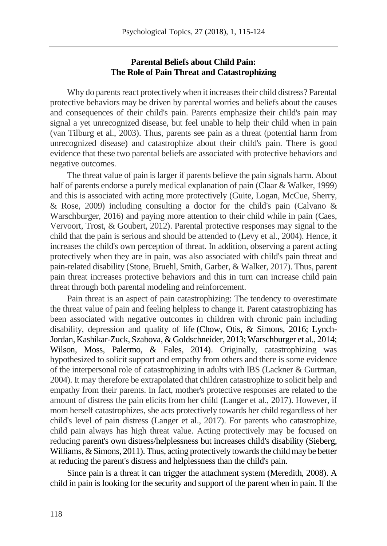## **Parental Beliefs about Child Pain: The Role of Pain Threat and Catastrophizing**

Why do parents react protectively when it increases their child distress? Parental protective behaviors may be driven by parental worries and beliefs about the causes and consequences of their child's pain. Parents emphasize their child's pain may signal a yet unrecognized disease, but feel unable to help their child when in pain (van Tilburg et al., 2003). Thus, parents see pain as a threat (potential harm from unrecognized disease) and catastrophize about their child's pain. There is good evidence that these two parental beliefs are associated with protective behaviors and negative outcomes.

The threat value of pain is larger if parents believe the pain signals harm. About half of parents endorse a purely medical explanation of pain (Claar & Walker, 1999) and this is associated with acting more protectively (Guite, Logan, McCue, Sherry, & Rose, 2009) including consulting a doctor for the child's pain (Calvano  $\&$ Warschburger, 2016) and paying more attention to their child while in pain (Caes, Vervoort, Trost, & Goubert, 2012). Parental protective responses may signal to the child that the pain is serious and should be attended to (Levy et al., 2004). Hence, it increases the child's own perception of threat. In addition, observing a parent acting protectively when they are in pain, was also associated with child's pain threat and pain-related disability (Stone, Bruehl, Smith, Garber, & Walker, 2017). Thus, parent pain threat increases protective behaviors and this in turn can increase child pain threat through both parental modeling and reinforcement.

Pain threat is an aspect of pain catastrophizing: The tendency to overestimate the threat value of pain and feeling helpless to change it. Parent catastrophizing has been associated with negative outcomes in children with chronic pain including disability, depression and quality of life (Chow, Otis, & Simons, 2016; Lynch-Jordan, Kashikar-Zuck, Szabova, & Goldschneider, 2013; Warschburger et al., 2014; Wilson, Moss, Palermo, & Fales, 2014). Originally, catastrophizing was hypothesized to solicit support and empathy from others and there is some evidence of the interpersonal role of catastrophizing in adults with IBS (Lackner & Gurtman, 2004). It may therefore be extrapolated that children catastrophize to solicit help and empathy from their parents. In fact, mother's protective responses are related to the amount of distress the pain elicits from her child (Langer et al., 2017). However, if mom herself catastrophizes, she acts protectively towards her child regardless of her child's level of pain distress (Langer et al., 2017). For parents who catastrophize, child pain always has high threat value. Acting protectively may be focused on reducing parent's own distress/helplessness but increases child's disability (Sieberg, Williams, & Simons, 2011). Thus, acting protectively towards the child may be better at reducing the parent's distress and helplessness than the child's pain.

Since pain is a threat it can trigger the attachment system (Meredith, 2008). A child in pain is looking for the security and support of the parent when in pain. If the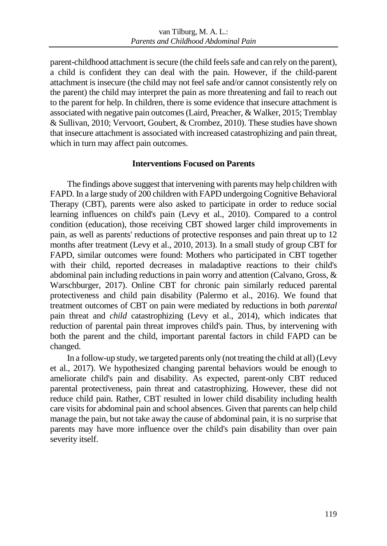parent-childhood attachment is secure (the child feels safe and can rely on the parent), a child is confident they can deal with the pain. However, if the child-parent attachment is insecure (the child may not feel safe and/or cannot consistently rely on the parent) the child may interpret the pain as more threatening and fail to reach out to the parent for help. In children, there is some evidence that insecure attachment is associated with negative pain outcomes (Laird, Preacher, & Walker, 2015; Tremblay & Sullivan, 2010; Vervoort, Goubert, & Crombez, 2010). These studies have shown that insecure attachment is associated with increased catastrophizing and pain threat, which in turn may affect pain outcomes.

### **Interventions Focused on Parents**

The findings above suggest that intervening with parents may help children with FAPD. In a large study of 200 children with FAPD undergoing Cognitive Behavioral Therapy (CBT), parents were also asked to participate in order to reduce social learning influences on child's pain (Levy et al., 2010). Compared to a control condition (education), those receiving CBT showed larger child improvements in pain, as well as parents' reductions of protective responses and pain threat up to 12 months after treatment (Levy et al., 2010, 2013). In a small study of group CBT for FAPD, similar outcomes were found: Mothers who participated in CBT together with their child, reported decreases in maladaptive reactions to their child's abdominal pain including reductions in pain worry and attention (Calvano, Gross, & Warschburger, 2017). Online CBT for chronic pain similarly reduced parental protectiveness and child pain disability (Palermo et al., 2016). We found that treatment outcomes of CBT on pain were mediated by reductions in both *parental*  pain threat and *child* catastrophizing (Levy et al., 2014), which indicates that reduction of parental pain threat improves child's pain. Thus, by intervening with both the parent and the child, important parental factors in child FAPD can be changed.

In a follow-up study, we targeted parents only (not treating the child at all) (Levy et al., 2017). We hypothesized changing parental behaviors would be enough to ameliorate child's pain and disability. As expected, parent-only CBT reduced parental protectiveness, pain threat and catastrophizing. However, these did not reduce child pain. Rather, CBT resulted in lower child disability including health care visits for abdominal pain and school absences. Given that parents can help child manage the pain, but not take away the cause of abdominal pain, it is no surprise that parents may have more influence over the child's pain disability than over pain severity itself.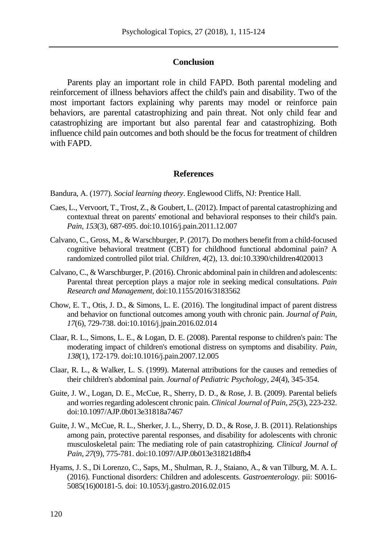#### **Conclusion**

Parents play an important role in child FAPD. Both parental modeling and reinforcement of illness behaviors affect the child's pain and disability. Two of the most important factors explaining why parents may model or reinforce pain behaviors, are parental catastrophizing and pain threat. Not only child fear and catastrophizing are important but also parental fear and catastrophizing. Both influence child pain outcomes and both should be the focus for treatment of children with FAPD.

#### **References**

Bandura, A. (1977). *Social learning theory*. Englewood Cliffs, NJ: Prentice Hall.

- Caes, L., Vervoort, T., Trost, Z., & Goubert, L. (2012). Impact of parental catastrophizing and contextual threat on parents' emotional and behavioral responses to their child's pain. *Pain, 153*(3), 687-695. doi:10.1016/j.pain.2011.12.007
- Calvano, C., Gross, M., & Warschburger, P. (2017). Do mothers benefit from a child-focused cognitive behavioral treatment (CBT) for childhood functional abdominal pain? A randomized controlled pilot trial. *Children, 4*(2), 13. doi:10.3390/children4020013
- Calvano, C., & Warschburger, P. (2016). Chronic abdominal pain in children and adolescents: Parental threat perception plays a major role in seeking medical consultations. *Pain Research and Management*, doi:10.1155/2016/3183562
- Chow, E. T., Otis, J. D., & Simons, L. E. (2016). The longitudinal impact of parent distress and behavior on functional outcomes among youth with chronic pain. *Journal of Pain, 17*(6), 729-738. doi:10.1016/j.jpain.2016.02.014
- Claar, R. L., Simons, L. E., & Logan, D. E. (2008). Parental response to children's pain: The moderating impact of children's emotional distress on symptoms and disability. *Pain, 138*(1), 172-179. doi:10.1016/j.pain.2007.12.005
- Claar, R. L., & Walker, L. S. (1999). Maternal attributions for the causes and remedies of their children's abdominal pain. *Journal of Pediatric Psychology, 24*(4), 345-354.
- Guite, J. W., Logan, D. E., McCue, R., Sherry, D. D., & Rose, J. B. (2009). Parental beliefs and worries regarding adolescent chronic pain. *Clinical Journal of Pain, 25*(3), 223-232. doi:10.1097/AJP.0b013e31818a7467
- Guite, J. W., McCue, R. L., Sherker, J. L., Sherry, D. D., & Rose, J. B. (2011). Relationships among pain, protective parental responses, and disability for adolescents with chronic musculoskeletal pain: The mediating role of pain catastrophizing. *Clinical Journal of Pain, 27*(9), 775-781. doi:10.1097/AJP.0b013e31821d8fb4
- Hyams, J. S., Di Lorenzo, C., Saps, M., Shulman, R. J., Staiano, A., & van Tilburg, M. A. L. (2016). Functional disorders: Children and adolescents. *Gastroenterology.* pii: S0016- 5085(16)00181-5. doi: 10.1053/j.gastro.2016.02.015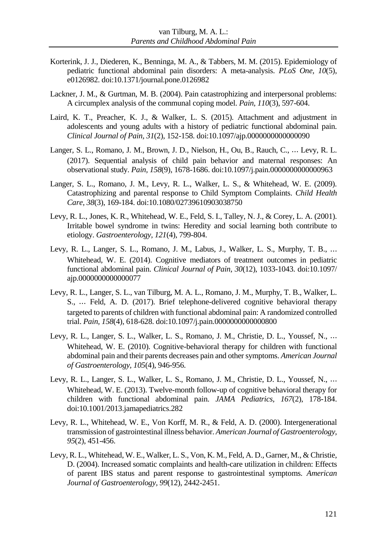- Korterink, J. J., Diederen, K., Benninga, M. A., & Tabbers, M. M. (2015). Epidemiology of pediatric functional abdominal pain disorders: A meta-analysis. *PLoS One, 10*(5), e0126982. doi:10.1371/journal.pone.0126982
- Lackner, J. M., & Gurtman, M. B. (2004). Pain catastrophizing and interpersonal problems: A circumplex analysis of the communal coping model. *Pain, 110*(3), 597-604.
- Laird, K. T., Preacher, K. J., & Walker, L. S. (2015). Attachment and adjustment in adolescents and young adults with a history of pediatric functional abdominal pain. *Clinical Journal of Pain, 31*(2), 152-158. doi:10.1097/ajp.0000000000000090
- Langer, S. L., Romano, J. M., Brown, J. D., Nielson, H., Ou, B., Rauch, C., ⋯ Levy, R. L. (2017). Sequential analysis of child pain behavior and maternal responses: An observational study. *Pain, 158*(9), 1678-1686. doi:10.1097/j.pain.0000000000000963
- Langer, S. L., Romano, J. M., Levy, R. L., Walker, L. S., & Whitehead, W. E. (2009). Catastrophizing and parental response to Child Symptom Complaints. *Child Health Care, 38*(3), 169-184. doi:10.1080/02739610903038750
- Levy, R. L., Jones, K. R., Whitehead, W. E., Feld, S. I., Talley, N. J., & Corey, L. A. (2001). Irritable bowel syndrome in twins: Heredity and social learning both contribute to etiology. *Gastroenterology, 121*(4), 799-804.
- Levy, R. L., Langer, S. L., Romano, J. M., Labus, J., Walker, L. S., Murphy, T. B., ⋯ Whitehead, W. E. (2014). Cognitive mediators of treatment outcomes in pediatric functional abdominal pain. *Clinical Journal of Pain, 30*(12), 1033-1043. doi:10.1097/ ajp.0000000000000077
- Levy, R. L., Langer, S. L., van Tilburg, M. A. L., Romano, J. M., Murphy, T. B., Walker, L. S., ⋯ Feld, A. D. (2017). Brief telephone-delivered cognitive behavioral therapy targeted to parents of children with functional abdominal pain: A randomized controlled trial. *Pain, 158*(4), 618-628. doi:10.1097/j.pain.0000000000000800
- Levy, R. L., Langer, S. L., Walker, L. S., Romano, J. M., Christie, D. L., Youssef, N., ⋯ Whitehead, W. E. (2010). Cognitive-behavioral therapy for children with functional abdominal pain and their parents decreases pain and other symptoms. *American Journal of Gastroenterology, 105*(4), 946-956.
- Levy, R. L., Langer, S. L., Walker, L. S., Romano, J. M., Christie, D. L., Youssef, N., ⋯ Whitehead, W. E. (2013). Twelve-month follow-up of cognitive behavioral therapy for children with functional abdominal pain. *JAMA Pediatrics, 167*(2), 178-184. doi:10.1001/2013.jamapediatrics.282
- Levy, R. L., Whitehead, W. E., Von Korff, M. R., & Feld, A. D. (2000). Intergenerational transmission of gastrointestinal illness behavior. *American Journal of Gastroenterology, 95*(2), 451-456.
- Levy, R. L., Whitehead, W. E., Walker, L. S., Von, K. M., Feld, A. D., Garner, M., & Christie, D. (2004). Increased somatic complaints and health-care utilization in children: Effects of parent IBS status and parent response to gastrointestinal symptoms. *American Journal of Gastroenterology, 99*(12), 2442-2451.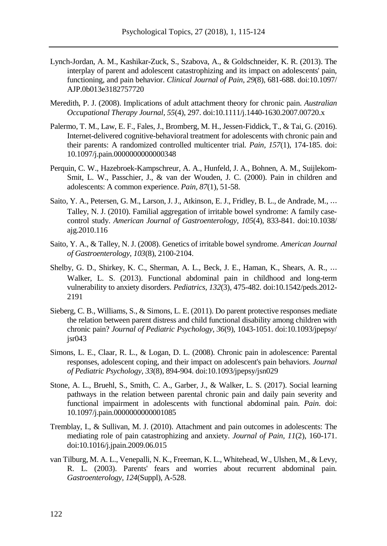- Lynch-Jordan, A. M., Kashikar-Zuck, S., Szabova, A., & Goldschneider, K. R. (2013). The interplay of parent and adolescent catastrophizing and its impact on adolescents' pain, functioning, and pain behavior. *Clinical Journal of Pain, 29*(8), 681-688. doi:10.1097/ AJP.0b013e3182757720
- Meredith, P. J. (2008). Implications of adult attachment theory for chronic pain. *Australian Occupational Therapy Journal, 55*(4), 297. doi:10.1111/j.1440-1630.2007.00720.x
- Palermo, T. M., Law, E. F., Fales, J., Bromberg, M. H., Jessen-Fiddick, T., & Tai, G. (2016). Internet-delivered cognitive-behavioral treatment for adolescents with chronic pain and their parents: A randomized controlled multicenter trial. *Pain, 157*(1), 174-185. doi: 10.1097/j.pain.0000000000000348
- Perquin, C. W., Hazebroek-Kampschreur, A. A., Hunfeld, J. A., Bohnen, A. M., Suijlekom-Smit, L. W., Passchier, J., & van der Wouden, J. C. (2000). Pain in children and adolescents: A common experience. *Pain, 87*(1), 51-58.
- Saito, Y. A., Petersen, G. M., Larson, J. J., Atkinson, E. J., Fridley, B. L., de Andrade, M., ⋯ Talley, N. J. (2010). Familial aggregation of irritable bowel syndrome: A family casecontrol study. *American Journal of Gastroenterology, 105*(4), 833-841. doi:10.1038/ ajg.2010.116
- Saito, Y. A., & Talley, N. J. (2008). Genetics of irritable bowel syndrome. *American Journal of Gastroenterology, 103*(8), 2100-2104.
- Shelby, G. D., Shirkey, K. C., Sherman, A. L., Beck, J. E., Haman, K., Shears, A. R., ⋯ Walker, L. S. (2013). Functional abdominal pain in childhood and long-term vulnerability to anxiety disorders. *Pediatrics, 132*(3), 475-482. doi:10.1542/peds.2012- 2191
- Sieberg, C. B., Williams, S., & Simons, L. E. (2011). Do parent protective responses mediate the relation between parent distress and child functional disability among children with chronic pain? *Journal of Pediatric Psychology, 36*(9), 1043-1051. doi:10.1093/jpepsy/ jsr043
- Simons, L. E., Claar, R. L., & Logan, D. L. (2008). Chronic pain in adolescence: Parental responses, adolescent coping, and their impact on adolescent's pain behaviors. *Journal of Pediatric Psychology, 33*(8), 894-904. doi:10.1093/jpepsy/jsn029
- Stone, A. L., Bruehl, S., Smith, C. A., Garber, J., & Walker, L. S. (2017). Social learning pathways in the relation between parental chronic pain and daily pain severity and functional impairment in adolescents with functional abdominal pain. *Pain*. doi: 10.1097/j.pain.0000000000001085
- Tremblay, I., & Sullivan, M. J. (2010). Attachment and pain outcomes in adolescents: The mediating role of pain catastrophizing and anxiety. *Journal of Pain, 11*(2), 160-171. doi:10.1016/j.jpain.2009.06.015
- van Tilburg, M. A. L., Venepalli, N. K., Freeman, K. L., Whitehead, W., Ulshen, M., & Levy, R. L. (2003). Parents' fears and worries about recurrent abdominal pain. *Gastroenterology, 124*(Suppl), A-528.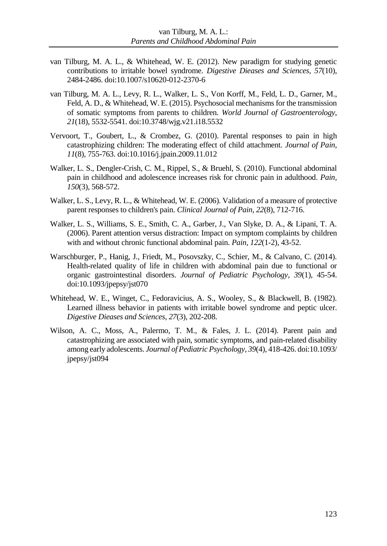- van Tilburg, M. A. L., & Whitehead, W. E. (2012). New paradigm for studying genetic contributions to irritable bowel syndrome. *Digestive Dieases and Sciences, 57*(10), 2484-2486. doi:10.1007/s10620-012-2370-6
- van Tilburg, M. A. L., Levy, R. L., Walker, L. S., Von Korff, M., Feld, L. D., Garner, M., Feld, A. D., & Whitehead, W. E. (2015). Psychosocial mechanisms for the transmission of somatic symptoms from parents to children. *World Journal of Gastroenterology*, *21*(18), 5532-5541. doi:10.3748/wjg.v21.i18.5532
- Vervoort, T., Goubert, L., & Crombez, G. (2010). Parental responses to pain in high catastrophizing children: The moderating effect of child attachment. *Journal of Pain, 11*(8), 755-763. doi:10.1016/j.jpain.2009.11.012
- Walker, L. S., Dengler-Crish, C. M., Rippel, S., & Bruehl, S. (2010). Functional abdominal pain in childhood and adolescence increases risk for chronic pain in adulthood. *Pain, 150*(3), 568-572.
- Walker, L. S., Levy, R. L., & Whitehead, W. E. (2006). Validation of a measure of protective parent responses to children's pain. *Clinical Journal of Pain, 22*(8), 712-716.
- Walker, L. S., Williams, S. E., Smith, C. A., Garber, J., Van Slyke, D. A., & Lipani, T. A. (2006). Parent attention versus distraction: Impact on symptom complaints by children with and without chronic functional abdominal pain. *Pain, 122*(1-2), 43-52.
- Warschburger, P., Hanig, J., Friedt, M., Posovszky, C., Schier, M., & Calvano, C. (2014). Health-related quality of life in children with abdominal pain due to functional or organic gastrointestinal disorders. *Journal of Pediatric Psychology, 39*(1), 45-54. doi:10.1093/jpepsy/jst070
- Whitehead, W. E., Winget, C., Fedoravicius, A. S., Wooley, S., & Blackwell, B. (1982). Learned illness behavior in patients with irritable bowel syndrome and peptic ulcer. *Digestive Dieases and Sciences, 27*(3), 202-208.
- Wilson, A. C., Moss, A., Palermo, T. M., & Fales, J. L. (2014). Parent pain and catastrophizing are associated with pain, somatic symptoms, and pain-related disability among early adolescents. *Journal of Pediatric Psychology, 39*(4), 418-426. doi:10.1093/ jpepsy/jst094